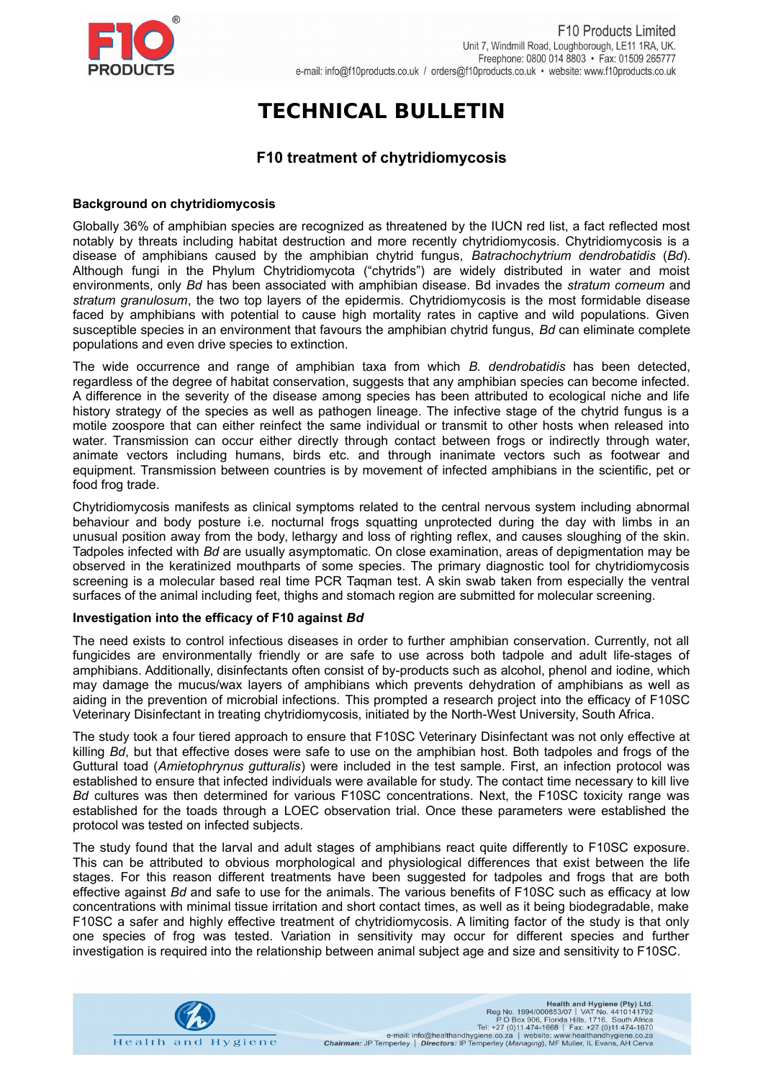

# **TECHNICAL BULLETIN**

## **F10 treatment of chytridiomycosis**

#### **Background on chytridiomycosis**

Globally 36% of amphibian species are recognized as threatened by the IUCN red list, a fact reflected most notably by threats including habitat destruction and more recently chytridiomycosis. Chytridiomycosis is a disease of amphibians caused by the amphibian chytrid fungus, *Batrachochytrium dendrobatidis* (*Bd*). Although fungi in the Phylum Chytridiomycota ("chytrids") are widely distributed in water and moist environments, only *Bd* has been associated with amphibian disease. Bd invades the *stratum corneum* and *stratum granulosum*, the two top layers of the epidermis. Chytridiomycosis is the most formidable disease faced by amphibians with potential to cause high mortality rates in captive and wild populations. Given susceptible species in an environment that favours the amphibian chytrid fungus, *Bd* can eliminate complete populations and even drive species to extinction.

The wide occurrence and range of amphibian taxa from which *B. dendrobatidis* has been detected, regardless of the degree of habitat conservation, suggests that any amphibian species can become infected. A difference in the severity of the disease among species has been attributed to ecological niche and life history strategy of the species as well as pathogen lineage. The infective stage of the chytrid fungus is a motile zoospore that can either reinfect the same individual or transmit to other hosts when released into water. Transmission can occur either directly through contact between frogs or indirectly through water, animate vectors including humans, birds etc. and through inanimate vectors such as footwear and equipment. Transmission between countries is by movement of infected amphibians in the scientific, pet or food frog trade.

Chytridiomycosis manifests as clinical symptoms related to the central nervous system including abnormal behaviour and body posture i.e. nocturnal frogs squatting unprotected during the day with limbs in an unusual position away from the body, lethargy and loss of righting reflex, and causes sloughing of the skin. Tadpoles infected with *Bd* are usually asymptomatic. On close examination, areas of depigmentation may be observed in the keratinized mouthparts of some species. The primary diagnostic tool for chytridiomycosis screening is a molecular based real time PCR Taqman test. A skin swab taken from especially the ventral surfaces of the animal including feet, thighs and stomach region are submitted for molecular screening.

### **Investigation into the efficacy of F10 against** *Bd*

The need exists to control infectious diseases in order to further amphibian conservation. Currently, not all fungicides are environmentally friendly or are safe to use across both tadpole and adult life-stages of amphibians. Additionally, disinfectants often consist of by-products such as alcohol, phenol and iodine, which may damage the mucus/wax layers of amphibians which prevents dehydration of amphibians as well as aiding in the prevention of microbial infections. This prompted a research project into the efficacy of F10SC Veterinary Disinfectant in treating chytridiomycosis, initiated by the North-West University, South Africa.

The study took a four tiered approach to ensure that F10SC Veterinary Disinfectant was not only effective at killing *Bd*, but that effective doses were safe to use on the amphibian host. Both tadpoles and frogs of the Guttural toad (*Amietophrynus gutturalis*) were included in the test sample. First, an infection protocol was established to ensure that infected individuals were available for study. The contact time necessary to kill live *Bd* cultures was then determined for various F10SC concentrations. Next, the F10SC toxicity range was established for the toads through a LOEC observation trial. Once these parameters were established the protocol was tested on infected subjects.

The study found that the larval and adult stages of amphibians react quite differently to F10SC exposure. This can be attributed to obvious morphological and physiological differences that exist between the life stages. For this reason different treatments have been suggested for tadpoles and frogs that are both effective against *Bd* and safe to use for the animals. The various benefits of F10SC such as efficacy at low concentrations with minimal tissue irritation and short contact times, as well as it being biodegradable, make F10SC a safer and highly effective treatment of chytridiomycosis. A limiting factor of the study is that only one species of frog was tested. Variation in sensitivity may occur for different species and further investigation is required into the relationship between animal subject age and size and sensitivity to F10SC.